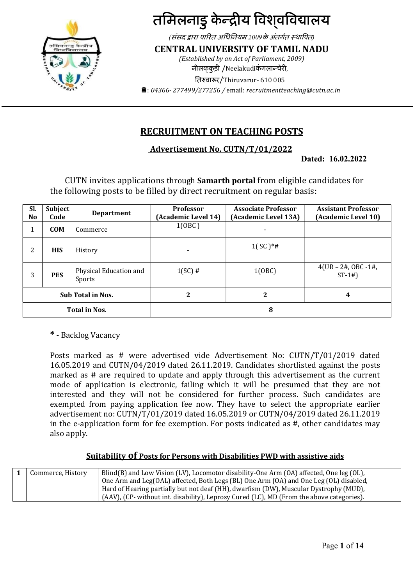

# तमिलनाडु केन्द्रीय विश्वविद्यालय

(संसद द्वारा पारित अधिनियम 2009के अंतर्गत स्थापित)

CENTRAL UNIVERSITY OF TAMIL NADU

(Established by an Act of Parliament, 2009) नीलककुड़ी /Neelakudiकंगलान्चेरी, तिरुवारूर/Thiruvarur- 610 005

: 04366- 277499/277256 / email: recruitmentteaching@cutn.ac.in

# RECRUITMENT ON TEACHING POSTS

# Advertisement No. CUTN/T/01/2022

Dated: 16.02.2022

 CUTN invites applications through Samarth portal from eligible candidates for the following posts to be filled by direct recruitment on regular basis:

| Sl.<br>N <sub>0</sub>    | <b>Subject</b><br>Code | <b>Department</b>                | <b>Professor</b><br>(Academic Level 14) | <b>Associate Professor</b><br>(Academic Level 13A) | <b>Assistant Professor</b><br>(Academic Level 10) |
|--------------------------|------------------------|----------------------------------|-----------------------------------------|----------------------------------------------------|---------------------------------------------------|
|                          | <b>COM</b>             | Commerce                         | 1(OBC)                                  | -                                                  |                                                   |
| 2                        | <b>HIS</b>             | History                          |                                         | $1(SC)*#$                                          |                                                   |
| 3                        | <b>PES</b>             | Physical Education and<br>Sports | $1(SC)$ #                               | 1(OBC)                                             | $4(UR - 2\#, OBC - 1\#)$<br>$ST-1#$               |
| <b>Sub Total in Nos.</b> |                        |                                  | 2                                       | 2                                                  | 4                                                 |
| <b>Total in Nos.</b>     |                        |                                  |                                         | 8                                                  |                                                   |

\* - Backlog Vacancy

Posts marked as # were advertised vide Advertisement No: CUTN/T/01/2019 dated 16.05.2019 and CUTN/04/2019 dated 26.11.2019. Candidates shortlisted against the posts marked as # are required to update and apply through this advertisement as the current mode of application is electronic, failing which it will be presumed that they are not interested and they will not be considered for further process. Such candidates are exempted from paying application fee now. They have to select the appropriate earlier advertisement no: CUTN/T/01/2019 dated 16.05.2019 or CUTN/04/2019 dated 26.11.2019 in the e-application form for fee exemption. For posts indicated as #, other candidates may also apply.

## Suitability of Posts for Persons with Disabilities PWD with assistive aids

| Commerce, History | Blind(B) and Low Vision (LV), Locomotor disability-One Arm (OA) affected, One leg (OL),   |
|-------------------|-------------------------------------------------------------------------------------------|
|                   | One Arm and Leg(OAL) affected, Both Legs (BL) One Arm (OA) and One Leg (OL) disabled,     |
|                   | Hard of Hearing partially but not deaf (HH), dwarfism (DW), Muscular Dystrophy (MUD),     |
|                   | (AAV), (CP- without int. disability), Leprosy Cured (LC), MD (From the above categories). |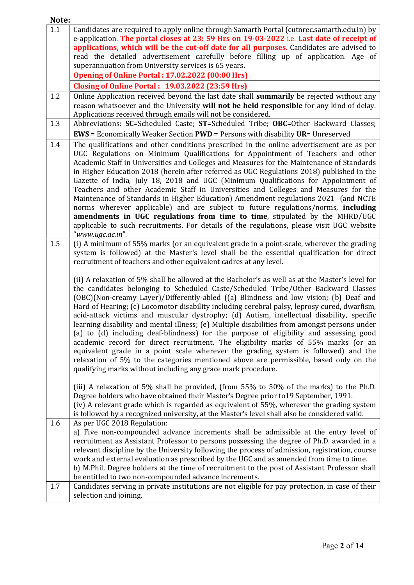# Note:

| 1.1 | Candidates are required to apply online through Samarth Portal (cutnrec.samarth.edu.in) by                                                                                                |
|-----|-------------------------------------------------------------------------------------------------------------------------------------------------------------------------------------------|
|     | e-application. The portal closes at 23: 59 Hrs on 19-03-2022 i.e. Last date of receipt of                                                                                                 |
|     | applications, which will be the cut-off date for all purposes. Candidates are advised to                                                                                                  |
|     | read the detailed advertisement carefully before filling up of application. Age of                                                                                                        |
|     | superannuation from University services is 65 years.                                                                                                                                      |
|     | <b>Opening of Online Portal: 17.02.2022 (00:00 Hrs)</b>                                                                                                                                   |
|     | <b>Closing of Online Portal: 19.03.2022 (23:59 Hrs)</b>                                                                                                                                   |
| 1.2 | Online Application received beyond the last date shall <b>summarily</b> be rejected without any                                                                                           |
|     | reason whatsoever and the University will not be held responsible for any kind of delay.                                                                                                  |
| 1.3 | Applications received through emails will not be considered.                                                                                                                              |
|     | Abbreviations: SC=Scheduled Caste; ST=Scheduled Tribe; OBC=Other Backward Classes;                                                                                                        |
|     | <b>EWS</b> = Economically Weaker Section $PWD$ = Persons with disability $UR =$ Unreserved                                                                                                |
| 1.4 | The qualifications and other conditions prescribed in the online advertisement are as per                                                                                                 |
|     | UGC Regulations on Minimum Qualifications for Appointment of Teachers and other                                                                                                           |
|     | Academic Staff in Universities and Colleges and Measures for the Maintenance of Standards<br>in Higher Education 2018 (herein after referred as UGC Regulations 2018) published in the    |
|     | Gazette of India, July 18, 2018 and UGC (Minimum Qualifications for Appointment of                                                                                                        |
|     | Teachers and other Academic Staff in Universities and Colleges and Measures for the                                                                                                       |
|     | Maintenance of Standards in Higher Education) Amendment regulations 2021 (and NCTE                                                                                                        |
|     | norms wherever applicable) and are subject to future regulations/norms, including                                                                                                         |
|     | amendments in UGC regulations from time to time, stipulated by the MHRD/UGC                                                                                                               |
|     | applicable to such recruitments. For details of the regulations, please visit UGC website                                                                                                 |
|     | "www.ugc.ac.in".                                                                                                                                                                          |
| 1.5 | (i) A minimum of 55% marks (or an equivalent grade in a point-scale, wherever the grading                                                                                                 |
|     | system is followed) at the Master's level shall be the essential qualification for direct                                                                                                 |
|     | recruitment of teachers and other equivalent cadres at any level.                                                                                                                         |
|     | (ii) A relaxation of 5% shall be allowed at the Bachelor's as well as at the Master's level for                                                                                           |
|     | the candidates belonging to Scheduled Caste/Scheduled Tribe/Other Backward Classes                                                                                                        |
|     | (OBC)(Non-creamy Layer)/Differently-abled ((a) Blindness and low vision; (b) Deaf and                                                                                                     |
|     | Hard of Hearing; (c) Locomotor disability including cerebral palsy, leprosy cured, dwarfism,                                                                                              |
|     | acid-attack victims and muscular dystrophy; (d) Autism, intellectual disability, specific                                                                                                 |
|     | learning disability and mental illness; (e) Multiple disabilities from amongst persons under                                                                                              |
|     | (a) to (d) including deaf-blindness) for the purpose of eligibility and assessing good                                                                                                    |
|     | academic record for direct recruitment. The eligibility marks of 55% marks (or an<br>equivalent grade in a point scale wherever the grading system is followed) and the                   |
|     | relaxation of 5% to the categories mentioned above are permissible, based only on the                                                                                                     |
|     | qualifying marks without including any grace mark procedure.                                                                                                                              |
|     |                                                                                                                                                                                           |
|     | (iii) A relaxation of 5% shall be provided, (from 55% to 50% of the marks) to the Ph.D.                                                                                                   |
|     | Degree holders who have obtained their Master's Degree prior to19 September, 1991.                                                                                                        |
|     | (iv) A relevant grade which is regarded as equivalent of 55%, wherever the grading system                                                                                                 |
|     | is followed by a recognized university, at the Master's level shall also be considered valid.                                                                                             |
| 1.6 | As per UGC 2018 Regulation:                                                                                                                                                               |
|     | a) Five non-compounded advance increments shall be admissible at the entry level of                                                                                                       |
|     | recruitment as Assistant Professor to persons possessing the degree of Ph.D. awarded in a                                                                                                 |
|     | relevant discipline by the University following the process of admission, registration, course<br>work and external evaluation as prescribed by the UGC and as amended from time to time. |
|     | b) M.Phil. Degree holders at the time of recruitment to the post of Assistant Professor shall                                                                                             |
|     | be entitled to two non-compounded advance increments.                                                                                                                                     |
| 1.7 | Candidates serving in private institutions are not eligible for pay protection, in case of their                                                                                          |
|     | selection and joining.                                                                                                                                                                    |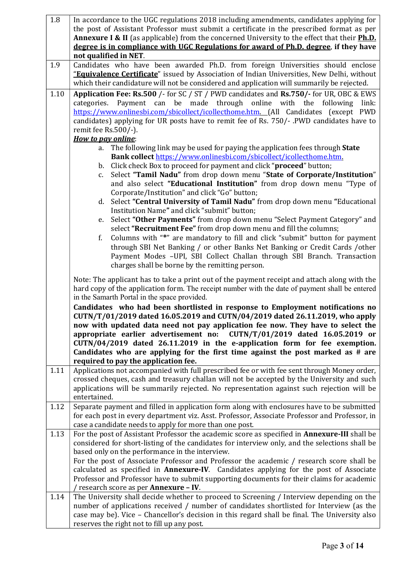|      | In accordance to the UGC regulations 2018 including amendments, candidates applying for                                                                                                         |
|------|-------------------------------------------------------------------------------------------------------------------------------------------------------------------------------------------------|
|      | the post of Assistant Professor must submit a certificate in the prescribed format as per                                                                                                       |
|      | <b>Annexure I &amp; II</b> (as applicable) from the concerned University to the effect that their <b>Ph.D.</b>                                                                                  |
|      | degree is in compliance with UGC Regulations for award of Ph.D. degree, if they have                                                                                                            |
|      | not qualified in NET.                                                                                                                                                                           |
| 1.9  | Candidates who have been awarded Ph.D. from foreign Universities should enclose                                                                                                                 |
|      | "Equivalence Certificate" issued by Association of Indian Universities, New Delhi, without                                                                                                      |
|      | which their candidature will not be considered and application will summarily be rejected.                                                                                                      |
| 1.10 | Application Fee: Rs.500 /- for SC / ST / PWD candidates and Rs.750/- for UR, OBC & EWS                                                                                                          |
|      | categories. Payment can be made through online with the following<br>link:                                                                                                                      |
|      | https://www.onlinesbi.com/sbicollect/icollecthome.htm. (All Candidates (except PWD                                                                                                              |
|      | candidates) applying for UR posts have to remit fee of Rs. 750/- .PWD candidates have to                                                                                                        |
|      | remit fee Rs.500/-).<br><b>How to pay online:</b>                                                                                                                                               |
|      | The following link may be used for paying the application fees through State<br>a.                                                                                                              |
|      | Bank collect https://www.onlinesbi.com/sbicollect/icollecthome.htm.                                                                                                                             |
|      | b. Click check Box to proceed for payment and click " <b>proceed</b> " button;                                                                                                                  |
|      | Select "Tamil Nadu" from drop down menu "State of Corporate/Institution"<br>c.                                                                                                                  |
|      | and also select "Educational Institution" from drop down menu "Type of                                                                                                                          |
|      | Corporate/Institution" and click "Go" button;                                                                                                                                                   |
|      | d. Select "Central University of Tamil Nadu" from drop down menu "Educational                                                                                                                   |
|      | Institution Name" and click "submit" button;                                                                                                                                                    |
|      | Select "Other Payments" from drop down menu "Select Payment Category" and<br>e.                                                                                                                 |
|      | select "Recruitment Fee" from drop down menu and fill the columns;                                                                                                                              |
|      | Columns with "*" are mandatory to fill and click "submit" button for payment<br>f.                                                                                                              |
|      | through SBI Net Banking / or other Banks Net Banking or Credit Cards / other                                                                                                                    |
|      | Payment Modes -UPI, SBI Collect Challan through SBI Branch. Transaction                                                                                                                         |
|      | charges shall be borne by the remitting person.                                                                                                                                                 |
|      |                                                                                                                                                                                                 |
|      |                                                                                                                                                                                                 |
|      | Note: The applicant has to take a print out of the payment receipt and attach along with the<br>hard copy of the application form. The receipt number with the date of payment shall be entered |
|      | in the Samarth Portal in the space provided.                                                                                                                                                    |
|      | Candidates who had been shortlisted in response to Employment notifications no                                                                                                                  |
|      | CUTN/T/01/2019 dated 16.05.2019 and CUTN/04/2019 dated 26.11.2019, who apply                                                                                                                    |
|      | now with updated data need not pay application fee now. They have to select the                                                                                                                 |
|      | appropriate earlier advertisement no: CUTN/T/01/2019 dated 16.05.2019 or                                                                                                                        |
|      | CUTN/04/2019 dated 26.11.2019 in the e-application form for fee exemption.                                                                                                                      |
|      | Candidates who are applying for the first time against the post marked as $#$ are                                                                                                               |
|      | required to pay the application fee.                                                                                                                                                            |
| 1.11 | Applications not accompanied with full prescribed fee or with fee sent through Money order,                                                                                                     |
|      | crossed cheques, cash and treasury challan will not be accepted by the University and such                                                                                                      |
|      | applications will be summarily rejected. No representation against such rejection will be                                                                                                       |
| 1.12 | entertained.                                                                                                                                                                                    |
|      | Separate payment and filled in application form along with enclosures have to be submitted<br>for each post in every department viz. Asst. Professor, Associate Professor and Professor, in     |
|      | case a candidate needs to apply for more than one post.                                                                                                                                         |
| 1.13 | For the post of Assistant Professor the academic score as specified in <b>Annexure-III</b> shall be                                                                                             |
|      | considered for short-listing of the candidates for interview only, and the selections shall be                                                                                                  |
|      | based only on the performance in the interview.                                                                                                                                                 |
|      | For the post of Associate Professor and Professor the academic / research score shall be                                                                                                        |
|      | calculated as specified in Annexure-IV. Candidates applying for the post of Associate                                                                                                           |
|      | Professor and Professor have to submit supporting documents for their claims for academic                                                                                                       |
|      | research score as per <b>Annexure - IV</b> .                                                                                                                                                    |
| 1.14 | The University shall decide whether to proceed to Screening / Interview depending on the                                                                                                        |
|      | number of applications received / number of candidates shortlisted for Interview (as the                                                                                                        |
|      | case may be). Vice - Chancellor's decision in this regard shall be final. The University also<br>reserves the right not to fill up any post.                                                    |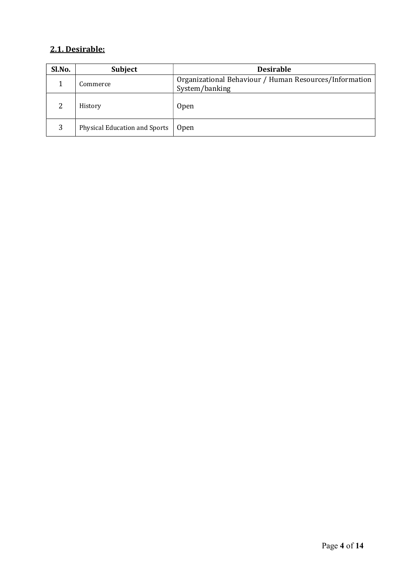# 2.1. Desirable:

| Sl.No. | <b>Subject</b>                | <b>Desirable</b>                                                         |
|--------|-------------------------------|--------------------------------------------------------------------------|
|        | Commerce                      | Organizational Behaviour / Human Resources/Information<br>System/banking |
| 2      | History                       | <b>Open</b>                                                              |
| 3      | Physical Education and Sports | <b>Open</b>                                                              |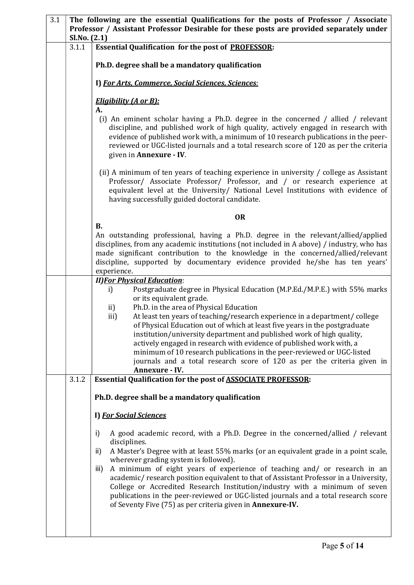| 3.1 |       | The following are the essential Qualifications for the posts of Professor / Associate<br>Professor / Assistant Professor Desirable for these posts are provided separately under<br>Sl.No. (2.1)                                                                                                                                                                                                                                                                                                                                                                                                                                                                                                |  |  |
|-----|-------|-------------------------------------------------------------------------------------------------------------------------------------------------------------------------------------------------------------------------------------------------------------------------------------------------------------------------------------------------------------------------------------------------------------------------------------------------------------------------------------------------------------------------------------------------------------------------------------------------------------------------------------------------------------------------------------------------|--|--|
|     | 3.1.1 | <b>Essential Qualification for the post of PROFESSOR:</b>                                                                                                                                                                                                                                                                                                                                                                                                                                                                                                                                                                                                                                       |  |  |
|     |       | Ph.D. degree shall be a mandatory qualification                                                                                                                                                                                                                                                                                                                                                                                                                                                                                                                                                                                                                                                 |  |  |
|     |       | I) For Arts, Commerce, Social Sciences, Sciences:                                                                                                                                                                                                                                                                                                                                                                                                                                                                                                                                                                                                                                               |  |  |
|     |       | <b>Eligibility (A or B):</b><br>A.                                                                                                                                                                                                                                                                                                                                                                                                                                                                                                                                                                                                                                                              |  |  |
|     |       | (i) An eminent scholar having a Ph.D. degree in the concerned / allied / relevant<br>discipline, and published work of high quality, actively engaged in research with<br>evidence of published work with, a minimum of 10 research publications in the peer-<br>reviewed or UGC-listed journals and a total research score of 120 as per the criteria<br>given in Annexure - IV.                                                                                                                                                                                                                                                                                                               |  |  |
|     |       | (ii) A minimum of ten years of teaching experience in university / college as Assistant<br>Professor/ Associate Professor/ Professor, and / or research experience at<br>equivalent level at the University/ National Level Institutions with evidence of<br>having successfully guided doctoral candidate.                                                                                                                                                                                                                                                                                                                                                                                     |  |  |
|     |       | <b>OR</b>                                                                                                                                                                                                                                                                                                                                                                                                                                                                                                                                                                                                                                                                                       |  |  |
|     |       | <b>B.</b><br>An outstanding professional, having a Ph.D. degree in the relevant/allied/applied<br>disciplines, from any academic institutions (not included in A above) / industry, who has<br>made significant contribution to the knowledge in the concerned/allied/relevant<br>discipline, supported by documentary evidence provided he/she has ten years'<br>experience.                                                                                                                                                                                                                                                                                                                   |  |  |
|     |       | <b>II) For Physical Education:</b><br>Postgraduate degree in Physical Education (M.P.Ed./M.P.E.) with 55% marks<br>i)<br>or its equivalent grade.<br>Ph.D. in the area of Physical Education<br>ii)<br>At least ten years of teaching/research experience in a department/college<br>iii)<br>of Physical Education out of which at least five years in the postgraduate<br>institution/university department and published work of high quality,<br>actively engaged in research with evidence of published work with, a<br>minimum of 10 research publications in the peer-reviewed or UGC-listed<br>journals and a total research score of 120 as per the criteria given in<br>Annexure - IV. |  |  |
|     | 3.1.2 | <b>Essential Qualification for the post of ASSOCIATE PROFESSOR:</b>                                                                                                                                                                                                                                                                                                                                                                                                                                                                                                                                                                                                                             |  |  |
|     |       | Ph.D. degree shall be a mandatory qualification                                                                                                                                                                                                                                                                                                                                                                                                                                                                                                                                                                                                                                                 |  |  |
|     |       | I) For Social Sciences                                                                                                                                                                                                                                                                                                                                                                                                                                                                                                                                                                                                                                                                          |  |  |
|     |       | A good academic record, with a Ph.D. Degree in the concerned/allied / relevant<br>i)                                                                                                                                                                                                                                                                                                                                                                                                                                                                                                                                                                                                            |  |  |
|     |       | disciplines.<br>A Master's Degree with at least 55% marks (or an equivalent grade in a point scale,<br>ii)                                                                                                                                                                                                                                                                                                                                                                                                                                                                                                                                                                                      |  |  |
|     |       | wherever grading system is followed).<br>A minimum of eight years of experience of teaching and/ or research in an<br>iii)<br>academic/research position equivalent to that of Assistant Professor in a University,<br>College or Accredited Research Institution/industry with a minimum of seven<br>publications in the peer-reviewed or UGC-listed journals and a total research score<br>of Seventy Five (75) as per criteria given in <b>Annexure-IV</b> .                                                                                                                                                                                                                                 |  |  |
|     |       |                                                                                                                                                                                                                                                                                                                                                                                                                                                                                                                                                                                                                                                                                                 |  |  |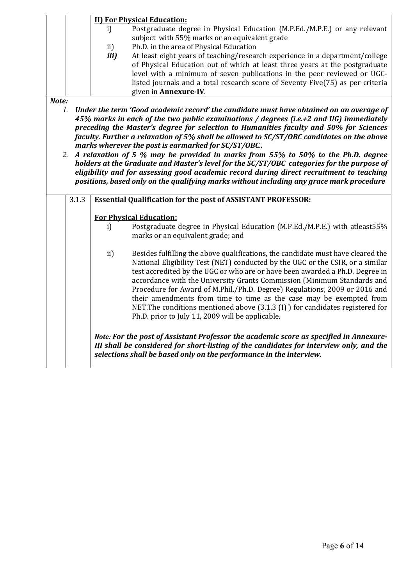|       |                                                                                                                                                                                                                                                                                                                                                                                                                                                                                                                                                                                                                                                                                                                                                                                                                |                                | <b>II) For Physical Education:</b>                                                                                                                                                                                                                                                                                                                                                                                                                                                                                                                                                                                      |  |  |
|-------|----------------------------------------------------------------------------------------------------------------------------------------------------------------------------------------------------------------------------------------------------------------------------------------------------------------------------------------------------------------------------------------------------------------------------------------------------------------------------------------------------------------------------------------------------------------------------------------------------------------------------------------------------------------------------------------------------------------------------------------------------------------------------------------------------------------|--------------------------------|-------------------------------------------------------------------------------------------------------------------------------------------------------------------------------------------------------------------------------------------------------------------------------------------------------------------------------------------------------------------------------------------------------------------------------------------------------------------------------------------------------------------------------------------------------------------------------------------------------------------------|--|--|
|       |                                                                                                                                                                                                                                                                                                                                                                                                                                                                                                                                                                                                                                                                                                                                                                                                                | i)                             | Postgraduate degree in Physical Education (M.P.Ed./M.P.E.) or any relevant<br>subject with 55% marks or an equivalent grade                                                                                                                                                                                                                                                                                                                                                                                                                                                                                             |  |  |
|       |                                                                                                                                                                                                                                                                                                                                                                                                                                                                                                                                                                                                                                                                                                                                                                                                                | ii)                            | Ph.D. in the area of Physical Education                                                                                                                                                                                                                                                                                                                                                                                                                                                                                                                                                                                 |  |  |
|       |                                                                                                                                                                                                                                                                                                                                                                                                                                                                                                                                                                                                                                                                                                                                                                                                                | <i>iii</i> )                   | At least eight years of teaching/research experience in a department/college                                                                                                                                                                                                                                                                                                                                                                                                                                                                                                                                            |  |  |
|       | of Physical Education out of which at least three years at the postgraduate                                                                                                                                                                                                                                                                                                                                                                                                                                                                                                                                                                                                                                                                                                                                    |                                |                                                                                                                                                                                                                                                                                                                                                                                                                                                                                                                                                                                                                         |  |  |
|       |                                                                                                                                                                                                                                                                                                                                                                                                                                                                                                                                                                                                                                                                                                                                                                                                                |                                | level with a minimum of seven publications in the peer reviewed or UGC-<br>listed journals and a total research score of Seventy Five(75) as per criteria<br>given in Annexure-IV.                                                                                                                                                                                                                                                                                                                                                                                                                                      |  |  |
| Note: |                                                                                                                                                                                                                                                                                                                                                                                                                                                                                                                                                                                                                                                                                                                                                                                                                |                                |                                                                                                                                                                                                                                                                                                                                                                                                                                                                                                                                                                                                                         |  |  |
| 1.    | Under the term 'Good academic record' the candidate must have obtained on an average of<br>45% marks in each of the two public examinations / degrees (i.e.+2 and UG) immediately<br>preceding the Master's degree for selection to Humanities faculty and 50% for Sciences<br>faculty. Further a relaxation of 5% shall be allowed to SC/ST/OBC candidates on the above<br>marks wherever the post is earmarked for SC/ST/OBC<br>A relaxation of 5 % may be provided in marks from 55% to 50% to the Ph.D. degree<br>2.<br>holders at the Graduate and Master's level for the SC/ST/OBC categories for the purpose of<br>eligibility and for assessing good academic record during direct recruitment to teaching<br>positions, based only on the qualifying marks without including any grace mark procedure |                                |                                                                                                                                                                                                                                                                                                                                                                                                                                                                                                                                                                                                                         |  |  |
|       | 3.1.3                                                                                                                                                                                                                                                                                                                                                                                                                                                                                                                                                                                                                                                                                                                                                                                                          |                                | <b>Essential Qualification for the post of ASSISTANT PROFESSOR:</b>                                                                                                                                                                                                                                                                                                                                                                                                                                                                                                                                                     |  |  |
|       |                                                                                                                                                                                                                                                                                                                                                                                                                                                                                                                                                                                                                                                                                                                                                                                                                | <b>For Physical Education:</b> |                                                                                                                                                                                                                                                                                                                                                                                                                                                                                                                                                                                                                         |  |  |
|       |                                                                                                                                                                                                                                                                                                                                                                                                                                                                                                                                                                                                                                                                                                                                                                                                                | i)                             | Postgraduate degree in Physical Education (M.P.Ed./M.P.E.) with atleast55%<br>marks or an equivalent grade; and                                                                                                                                                                                                                                                                                                                                                                                                                                                                                                         |  |  |
|       |                                                                                                                                                                                                                                                                                                                                                                                                                                                                                                                                                                                                                                                                                                                                                                                                                | ii)                            | Besides fulfilling the above qualifications, the candidate must have cleared the<br>National Eligibility Test (NET) conducted by the UGC or the CSIR, or a similar<br>test accredited by the UGC or who are or have been awarded a Ph.D. Degree in<br>accordance with the University Grants Commission (Minimum Standards and<br>Procedure for Award of M.Phil./Ph.D. Degree) Regulations, 2009 or 2016 and<br>their amendments from time to time as the case may be exempted from<br>NET. The conditions mentioned above (3.1.3 (I)) for candidates registered for<br>Ph.D. prior to July 11, 2009 will be applicable. |  |  |
|       |                                                                                                                                                                                                                                                                                                                                                                                                                                                                                                                                                                                                                                                                                                                                                                                                                |                                | Note: For the post of Assistant Professor the academic score as specified in Annexure-<br>III shall be considered for short-listing of the candidates for interview only, and the<br>selections shall be based only on the performance in the interview.                                                                                                                                                                                                                                                                                                                                                                |  |  |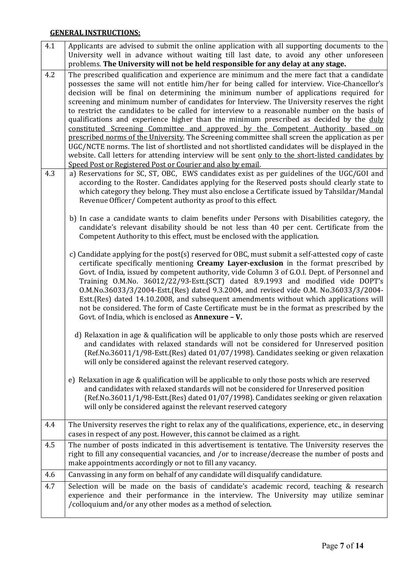| 4.1 | Applicants are advised to submit the online application with all supporting documents to the<br>University well in advance without waiting till last date, to avoid any other unforeseen<br>problems. The University will not be held responsible for any delay at any stage.                                                                                                                                                                                                                                                                                                                                                                                                                                                                                                                                                                                                                                                                                                                                                                |
|-----|----------------------------------------------------------------------------------------------------------------------------------------------------------------------------------------------------------------------------------------------------------------------------------------------------------------------------------------------------------------------------------------------------------------------------------------------------------------------------------------------------------------------------------------------------------------------------------------------------------------------------------------------------------------------------------------------------------------------------------------------------------------------------------------------------------------------------------------------------------------------------------------------------------------------------------------------------------------------------------------------------------------------------------------------|
| 4.2 | The prescribed qualification and experience are minimum and the mere fact that a candidate<br>possesses the same will not entitle him/her for being called for interview. Vice-Chancellor's<br>decision will be final on determining the minimum number of applications required for<br>screening and minimum number of candidates for Interview. The University reserves the right<br>to restrict the candidates to be called for interview to a reasonable number on the basis of<br>qualifications and experience higher than the minimum prescribed as decided by the duly<br>constituted Screening Committee and approved by the Competent Authority based on<br>prescribed norms of the University. The Screening committee shall screen the application as per<br>UGC/NCTE norms. The list of shortlisted and not shortlisted candidates will be displayed in the<br>website. Call letters for attending interview will be sent only to the short-listed candidates by<br>Speed Post or Registered Post or Courier and also by email. |
| 4.3 | a) Reservations for SC, ST, OBC, EWS candidates exist as per guidelines of the UGC/GOI and<br>according to the Roster. Candidates applying for the Reserved posts should clearly state to<br>which category they belong. They must also enclose a Certificate issued by Tahsildar/Mandal<br>Revenue Officer/ Competent authority as proof to this effect.                                                                                                                                                                                                                                                                                                                                                                                                                                                                                                                                                                                                                                                                                    |
|     | b) In case a candidate wants to claim benefits under Persons with Disabilities category, the<br>candidate's relevant disability should be not less than 40 per cent. Certificate from the<br>Competent Authority to this effect, must be enclosed with the application.                                                                                                                                                                                                                                                                                                                                                                                                                                                                                                                                                                                                                                                                                                                                                                      |
|     | c) Candidate applying for the post(s) reserved for OBC, must submit a self-attested copy of caste<br>certificate specifically mentioning Creamy Layer-exclusion in the format prescribed by<br>Govt. of India, issued by competent authority, vide Column 3 of G.O.I. Dept. of Personnel and<br>Training O.M.No. 36012/22/93-Estt.(SCT) dated 8.9.1993 and modified vide DOPT's<br>0.M.No.36033/3/2004-Estt.(Res) dated 9.3.2004, and revised vide 0.M. No.36033/3/2004-<br>Estt. (Res) dated 14.10.2008, and subsequent amendments without which applications will<br>not be considered. The form of Caste Certificate must be in the format as prescribed by the<br>Govt. of India, which is enclosed as <b>Annexure - V.</b>                                                                                                                                                                                                                                                                                                              |
|     | d) Relaxation in age & qualification will be applicable to only those posts which are reserved<br>and candidates with relaxed standards will not be considered for Unreserved position<br>(Ref.No.36011/1/98-Estt.(Res) dated 01/07/1998). Candidates seeking or given relaxation<br>will only be considered against the relevant reserved category.                                                                                                                                                                                                                                                                                                                                                                                                                                                                                                                                                                                                                                                                                         |
|     | e) Relaxation in age & qualification will be applicable to only those posts which are reserved<br>and candidates with relaxed standards will not be considered for Unreserved position<br>(Ref.No.36011/1/98-Estt.(Res) dated 01/07/1998). Candidates seeking or given relaxation<br>will only be considered against the relevant reserved category                                                                                                                                                                                                                                                                                                                                                                                                                                                                                                                                                                                                                                                                                          |
| 4.4 | The University reserves the right to relax any of the qualifications, experience, etc., in deserving<br>cases in respect of any post. However, this cannot be claimed as a right.                                                                                                                                                                                                                                                                                                                                                                                                                                                                                                                                                                                                                                                                                                                                                                                                                                                            |
| 4.5 | The number of posts indicated in this advertisement is tentative. The University reserves the<br>right to fill any consequential vacancies, and /or to increase/decrease the number of posts and<br>make appointments accordingly or not to fill any vacancy.                                                                                                                                                                                                                                                                                                                                                                                                                                                                                                                                                                                                                                                                                                                                                                                |
| 4.6 | Canvassing in any form on behalf of any candidate will disqualify candidature.                                                                                                                                                                                                                                                                                                                                                                                                                                                                                                                                                                                                                                                                                                                                                                                                                                                                                                                                                               |
| 4.7 | Selection will be made on the basis of candidate's academic record, teaching & research<br>experience and their performance in the interview. The University may utilize seminar<br>/colloquium and/or any other modes as a method of selection.                                                                                                                                                                                                                                                                                                                                                                                                                                                                                                                                                                                                                                                                                                                                                                                             |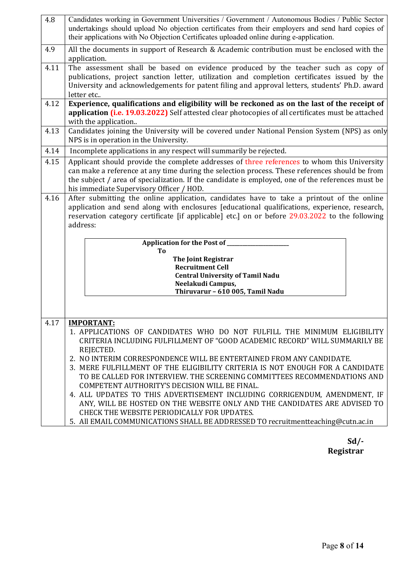| 4.8  | Candidates working in Government Universities / Government / Autonomous Bodies / Public Sector                                                                                                                                                                                                                                                 |  |  |
|------|------------------------------------------------------------------------------------------------------------------------------------------------------------------------------------------------------------------------------------------------------------------------------------------------------------------------------------------------|--|--|
|      | undertakings should upload No objection certificates from their employers and send hard copies of                                                                                                                                                                                                                                              |  |  |
|      | their applications with No Objection Certificates uploaded online during e-application.                                                                                                                                                                                                                                                        |  |  |
| 4.9  | All the documents in support of Research & Academic contribution must be enclosed with the<br>application.                                                                                                                                                                                                                                     |  |  |
| 4.11 | The assessment shall be based on evidence produced by the teacher such as copy of<br>publications, project sanction letter, utilization and completion certificates issued by the<br>University and acknowledgements for patent filing and approval letters, students' Ph.D. award<br>letter etc                                               |  |  |
| 4.12 | Experience, qualifications and eligibility will be reckoned as on the last of the receipt of<br>application (i.e. 19.03.2022) Self attested clear photocopies of all certificates must be attached<br>with the application                                                                                                                     |  |  |
| 4.13 | Candidates joining the University will be covered under National Pension System (NPS) as only<br>NPS is in operation in the University.                                                                                                                                                                                                        |  |  |
| 4.14 | Incomplete applications in any respect will summarily be rejected.                                                                                                                                                                                                                                                                             |  |  |
| 4.15 | Applicant should provide the complete addresses of three references to whom this University<br>can make a reference at any time during the selection process. These references should be from<br>the subject / area of specialization. If the candidate is employed, one of the references must be<br>his immediate Supervisory Officer / HOD. |  |  |
| 4.16 | After submitting the online application, candidates have to take a printout of the online<br>application and send along with enclosures [educational qualifications, experience, research,<br>reservation category certificate [if applicable] etc.] on or before 29.03.2022 to the following<br>address:                                      |  |  |
|      | Application for the Post of _______                                                                                                                                                                                                                                                                                                            |  |  |
|      | To                                                                                                                                                                                                                                                                                                                                             |  |  |
|      | The Joint Registrar<br><b>Recruitment Cell</b>                                                                                                                                                                                                                                                                                                 |  |  |
|      | <b>Central University of Tamil Nadu</b>                                                                                                                                                                                                                                                                                                        |  |  |
|      | Neelakudi Campus,                                                                                                                                                                                                                                                                                                                              |  |  |
|      | Thiruvarur - 610 005, Tamil Nadu                                                                                                                                                                                                                                                                                                               |  |  |
|      |                                                                                                                                                                                                                                                                                                                                                |  |  |
| 4.17 | <b>IMPORTANT:</b>                                                                                                                                                                                                                                                                                                                              |  |  |
|      | 1. APPLICATIONS OF CANDIDATES WHO DO NOT FULFILL THE MINIMUM ELIGIBILITY                                                                                                                                                                                                                                                                       |  |  |
|      | CRITERIA INCLUDING FULFILLMENT OF "GOOD ACADEMIC RECORD" WILL SUMMARILY BE                                                                                                                                                                                                                                                                     |  |  |
|      | REJECTED.<br>2. NO INTERIM CORRESPONDENCE WILL BE ENTERTAINED FROM ANY CANDIDATE.                                                                                                                                                                                                                                                              |  |  |
|      | 3. MERE FULFILLMENT OF THE ELIGIBILITY CRITERIA IS NOT ENOUGH FOR A CANDIDATE                                                                                                                                                                                                                                                                  |  |  |
|      | TO BE CALLED FOR INTERVIEW. THE SCREENING COMMITTEES RECOMMENDATIONS AND                                                                                                                                                                                                                                                                       |  |  |
|      | COMPETENT AUTHORITY'S DECISION WILL BE FINAL.                                                                                                                                                                                                                                                                                                  |  |  |
|      | 4. ALL UPDATES TO THIS ADVERTISEMENT INCLUDING CORRIGENDUM, AMENDMENT, IF<br>ANY, WILL BE HOSTED ON THE WEBSITE ONLY AND THE CANDIDATES ARE ADVISED TO                                                                                                                                                                                         |  |  |
|      | CHECK THE WEBSITE PERIODICALLY FOR UPDATES.                                                                                                                                                                                                                                                                                                    |  |  |
|      | 5. All EMAIL COMMUNICATIONS SHALL BE ADDRESSED TO recruitmentteaching@cutn.ac.in                                                                                                                                                                                                                                                               |  |  |

Sd/- Registrar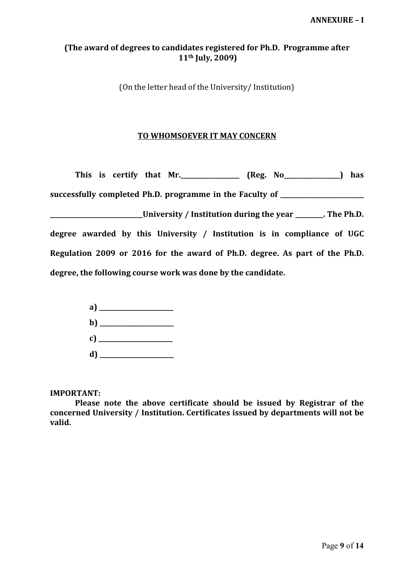## (The award of degrees to candidates registered for Ph.D. Programme after 11th July, 2009)

(On the letter head of the University/ Institution)

#### TO WHOMSOEVER IT MAY CONCERN

This is certify that Mr. successfully completed Ph.D. programme in the Faculty of \_\_\_\_\_\_\_\_\_\_\_\_\_\_\_\_\_\_\_\_\_\_\_ \_\_\_\_\_\_\_\_\_\_\_\_\_\_\_\_\_\_\_\_\_\_\_\_\_\_\_\_\_\_University / Institution during the year \_\_\_\_\_\_\_\_\_. The Ph.D. degree awarded by this University / Institution is in compliance of UGC Regulation 2009 or 2016 for the award of Ph.D. degree. As part of the Ph.D. degree, the following course work was done by the candidate.

> a) \_\_\_\_\_\_\_\_\_\_\_\_\_\_\_\_\_\_\_\_\_\_\_\_ b) \_\_\_\_\_\_\_\_\_\_\_\_\_\_\_\_\_\_\_\_\_\_\_\_ c)  $\overline{\phantom{a}}$  $\mathbf{d}$

IMPORTANT:

Please note the above certificate should be issued by Registrar of the concerned University / Institution. Certificates issued by departments will not be valid.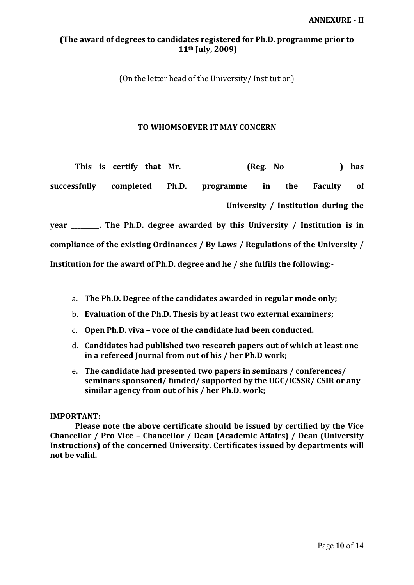## (The award of degrees to candidates registered for Ph.D. programme prior to 11th July, 2009)

(On the letter head of the University/ Institution)

#### TO WHOMSOEVER IT MAY CONCERN

|              |                                                                                |  | This is certify that Mr. $\[\text{Reg. No}\]$                                     |  |  |            | has |
|--------------|--------------------------------------------------------------------------------|--|-----------------------------------------------------------------------------------|--|--|------------|-----|
| successfully | completed Ph.D.                                                                |  | programme in the                                                                  |  |  | Faculty of |     |
|              |                                                                                |  | ____University / Institution during the                                           |  |  |            |     |
|              |                                                                                |  | year _______. The Ph.D. degree awarded by this University / Institution is in     |  |  |            |     |
|              |                                                                                |  | compliance of the existing Ordinances / By Laws / Regulations of the University / |  |  |            |     |
|              | Institution for the award of Ph.D. degree and he / she fulfils the following:- |  |                                                                                   |  |  |            |     |

- a. The Ph.D. Degree of the candidates awarded in regular mode only;
- b. Evaluation of the Ph.D. Thesis by at least two external examiners;
- c. Open Ph.D. viva voce of the candidate had been conducted.
- d. Candidates had published two research papers out of which at least one in a refereed Journal from out of his / her Ph.D work;
- e. The candidate had presented two papers in seminars / conferences/ seminars sponsored/ funded/ supported by the UGC/ICSSR/ CSIR or any similar agency from out of his / her Ph.D. work;

#### IMPORTANT:

Please note the above certificate should be issued by certified by the Vice Chancellor / Pro Vice – Chancellor / Dean (Academic Affairs) / Dean (University Instructions) of the concerned University. Certificates issued by departments will not be valid.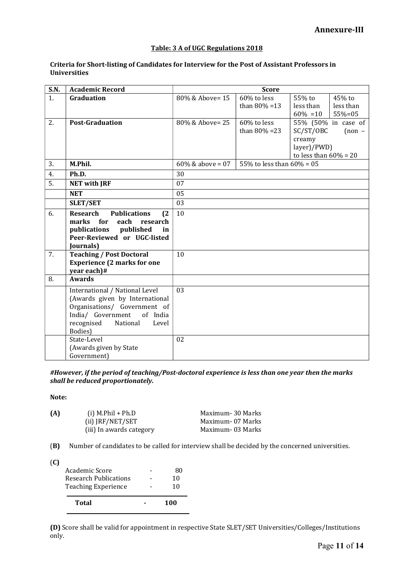#### Table: 3 A of UGC Regulations 2018

#### Criteria for Short-listing of Candidates for Interview for the Post of Assistant Professors in Universities

| S.N. | <b>Academic Record</b>                        | <b>Score</b>        |                              |                          |                     |
|------|-----------------------------------------------|---------------------|------------------------------|--------------------------|---------------------|
| 1.   | Graduation                                    | 80% & Above= 15     | 60% to less                  | 55% to                   | 45% to              |
|      |                                               |                     | than $80\% = 13$             | less than                | less than           |
|      |                                               |                     |                              | $60\% = 10$              | $55% = 05$          |
| 2.   | <b>Post-Graduation</b>                        | 80% & Above= 25     | 60% to less                  |                          | 55% (50% in case of |
|      |                                               |                     | than $80\% = 23$             | SC/ST/OBC                | $(non -$            |
|      |                                               |                     |                              | creamy                   |                     |
|      |                                               |                     |                              | layer)/PWD)              |                     |
|      |                                               |                     |                              | to less than $60\% = 20$ |                     |
| 3.   | M.Phil.                                       | $60\%$ & above = 07 | 55% to less than $60\% = 05$ |                          |                     |
| 4.   | Ph.D.                                         | 30                  |                              |                          |                     |
| 5.   | <b>NET with JRF</b>                           | 07                  |                              |                          |                     |
|      | <b>NET</b>                                    | 05                  |                              |                          |                     |
|      | <b>SLET/SET</b>                               | 03                  |                              |                          |                     |
| 6.   | <b>Research</b><br><b>Publications</b><br>(2) | 10                  |                              |                          |                     |
|      | for<br>each<br>marks<br>research              |                     |                              |                          |                     |
|      | publications<br>published<br>in               |                     |                              |                          |                     |
|      | Peer-Reviewed or UGC-listed                   |                     |                              |                          |                     |
|      | Journals)                                     |                     |                              |                          |                     |
| 7.   | <b>Teaching / Post Doctoral</b>               | 10                  |                              |                          |                     |
|      | <b>Experience (2 marks for one</b>            |                     |                              |                          |                     |
|      | year each)#                                   |                     |                              |                          |                     |
| 8.   | <b>Awards</b>                                 |                     |                              |                          |                     |
|      | International / National Level                | 03                  |                              |                          |                     |
|      | (Awards given by International                |                     |                              |                          |                     |
|      | Organisations/ Government of                  |                     |                              |                          |                     |
|      | India/ Government<br>of India                 |                     |                              |                          |                     |
|      | recognised<br>National<br>Level               |                     |                              |                          |                     |
|      | Bodies)                                       |                     |                              |                          |                     |
|      | State-Level                                   | 02                  |                              |                          |                     |
|      | (Awards given by State                        |                     |                              |                          |                     |
|      | Government)                                   |                     |                              |                          |                     |

#However, if the period of teaching/Post-doctoral experience is less than one year then the marks shall be reduced proportionately.

Note:

| (A) | $(i)$ M.Phil + Ph.D      | Maximum- 30 Marks |
|-----|--------------------------|-------------------|
|     | (ii) JRF/NET/SET         | Maximum-07 Marks  |
|     | (iii) In awards category | Maximum-03 Marks  |

(B) Number of candidates to be called for interview shall be decided by the concerned universities.

(C)

|              | Total                      | 100 |
|--------------|----------------------------|-----|
|              | <b>Teaching Experience</b> | 10  |
|              | Research Publications      | 10  |
| $\mathbf{v}$ | Academic Score             | 80  |

(D) Score shall be valid for appointment in respective State SLET/SET Universities/Colleges/Institutions only.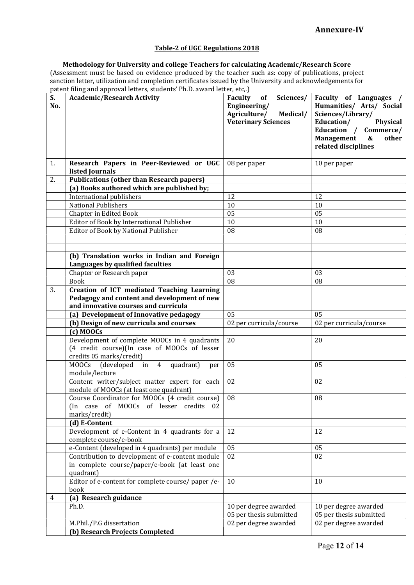#### Table-2 of UGC Regulations 2018

#### Methodology for University and college Teachers for calculating Academic/Research Score

(Assessment must be based on evidence produced by the teacher such as: copy of publications, project sanction letter, utilization and completion certificates issued by the University and acknowledgements for patent filing and approval letters, students' Ph.D. award letter, etc,.)

|           | patent ming and approval letters, stadents 'r m.b. awdi a letter, etc, j                                                          |                                                                                                      |                                                                                                                                                                                         |
|-----------|-----------------------------------------------------------------------------------------------------------------------------------|------------------------------------------------------------------------------------------------------|-----------------------------------------------------------------------------------------------------------------------------------------------------------------------------------------|
| S.<br>No. | <b>Academic/Research Activity</b>                                                                                                 | Sciences/<br>Faculty<br>of<br>Engineering/<br>Agriculture/<br>Medical/<br><b>Veterinary Sciences</b> | Faculty of Languages /<br>Humanities/ Arts/ Social<br>Sciences/Library/<br>Education/<br>Physical<br>Education /<br>Commerce/<br><b>Management</b><br>&<br>other<br>related disciplines |
| 1.        | Research Papers in Peer-Reviewed or UGC                                                                                           | 08 per paper                                                                                         | 10 per paper                                                                                                                                                                            |
|           | listed Journals                                                                                                                   |                                                                                                      |                                                                                                                                                                                         |
| 2.        | <b>Publications (other than Research papers)</b>                                                                                  |                                                                                                      |                                                                                                                                                                                         |
|           | (a) Books authored which are published by;                                                                                        |                                                                                                      |                                                                                                                                                                                         |
|           | International publishers                                                                                                          | 12                                                                                                   | 12                                                                                                                                                                                      |
|           | <b>National Publishers</b>                                                                                                        | 10                                                                                                   | 10                                                                                                                                                                                      |
|           | Chapter in Edited Book                                                                                                            | 05                                                                                                   | 05                                                                                                                                                                                      |
|           | Editor of Book by International Publisher                                                                                         | 10                                                                                                   | 10                                                                                                                                                                                      |
|           | Editor of Book by National Publisher                                                                                              | 08                                                                                                   | 08                                                                                                                                                                                      |
|           |                                                                                                                                   |                                                                                                      |                                                                                                                                                                                         |
|           |                                                                                                                                   |                                                                                                      |                                                                                                                                                                                         |
|           | (b) Translation works in Indian and Foreign                                                                                       |                                                                                                      |                                                                                                                                                                                         |
|           | Languages by qualified faculties                                                                                                  |                                                                                                      |                                                                                                                                                                                         |
|           | Chapter or Research paper                                                                                                         | 03                                                                                                   | 03                                                                                                                                                                                      |
|           | <b>Book</b>                                                                                                                       | 08                                                                                                   | 08                                                                                                                                                                                      |
| 3.        | Creation of ICT mediated Teaching Learning<br>Pedagogy and content and development of new<br>and innovative courses and curricula |                                                                                                      |                                                                                                                                                                                         |
|           | (a) Development of Innovative pedagogy                                                                                            | 05                                                                                                   | 05                                                                                                                                                                                      |
|           | (b) Design of new curricula and courses                                                                                           | 02 per curricula/course                                                                              | 02 per curricula/course                                                                                                                                                                 |
|           | $(c)$ MOOCs                                                                                                                       |                                                                                                      |                                                                                                                                                                                         |
|           | Development of complete MOOCs in 4 quadrants<br>(4 credit course)(In case of MOOCs of lesser                                      | 20                                                                                                   | 20                                                                                                                                                                                      |
|           | credits 05 marks/credit)<br>MOOCs<br>(developed in 4<br>quadrant)<br>per                                                          | 05                                                                                                   | 05                                                                                                                                                                                      |
|           | module/lecture                                                                                                                    |                                                                                                      |                                                                                                                                                                                         |
|           | Content writer/subject matter expert for each<br>module of MOOCs (at least one quadrant)                                          | 02                                                                                                   | 02                                                                                                                                                                                      |
|           | Course Coordinator for MOOCs (4 credit course)<br>(In case of MOOCs of lesser credits 02<br>marks/credit)                         | 08                                                                                                   | 08                                                                                                                                                                                      |
|           | (d) E-Content                                                                                                                     |                                                                                                      |                                                                                                                                                                                         |
|           | Development of e-Content in 4 quadrants for a<br>complete course/e-book                                                           | 12                                                                                                   | 12                                                                                                                                                                                      |
|           | e-Content (developed in 4 quadrants) per module                                                                                   | 05                                                                                                   | 05                                                                                                                                                                                      |
|           | Contribution to development of e-content module<br>in complete course/paper/e-book (at least one<br>quadrant)                     | 02                                                                                                   | 02                                                                                                                                                                                      |
|           | Editor of e-content for complete course/ paper /e-<br>book                                                                        | 10                                                                                                   | 10                                                                                                                                                                                      |
| 4         | (a) Research guidance                                                                                                             |                                                                                                      |                                                                                                                                                                                         |
|           | Ph.D.                                                                                                                             | 10 per degree awarded<br>05 per thesis submitted                                                     | 10 per degree awarded<br>05 per thesis submitted                                                                                                                                        |
|           | M.Phil./P.G dissertation                                                                                                          | 02 per degree awarded                                                                                | 02 per degree awarded                                                                                                                                                                   |
|           | (b) Research Projects Completed                                                                                                   |                                                                                                      |                                                                                                                                                                                         |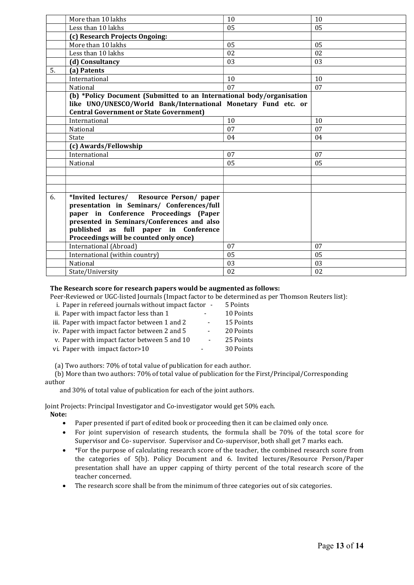|    | More than 10 lakhs                                                    | 10 | 10 |  |  |
|----|-----------------------------------------------------------------------|----|----|--|--|
|    | Less than 10 lakhs                                                    | 05 | 05 |  |  |
|    | (c) Research Projects Ongoing:                                        |    |    |  |  |
|    | More than 10 lakhs                                                    | 05 | 05 |  |  |
|    | Less than 10 lakhs                                                    | 02 | 02 |  |  |
|    | (d) Consultancy                                                       | 03 | 03 |  |  |
| 5. | (a) Patents                                                           |    |    |  |  |
|    | International                                                         | 10 | 10 |  |  |
|    | National                                                              | 07 | 07 |  |  |
|    | (b) *Policy Document (Submitted to an International body/organisation |    |    |  |  |
|    | like UNO/UNESCO/World Bank/International Monetary Fund etc. or        |    |    |  |  |
|    | <b>Central Government or State Government)</b>                        |    |    |  |  |
|    | International                                                         | 10 | 10 |  |  |
|    | National                                                              | 07 | 07 |  |  |
|    | State                                                                 | 04 | 04 |  |  |
|    | (c) Awards/Fellowship                                                 |    |    |  |  |
|    | International                                                         | 07 | 07 |  |  |
|    | National                                                              | 05 | 05 |  |  |
|    |                                                                       |    |    |  |  |
|    |                                                                       |    |    |  |  |
|    |                                                                       |    |    |  |  |
| 6. | *Invited lectures/ Resource Person/ paper                             |    |    |  |  |
|    | presentation in Seminars/ Conferences/full                            |    |    |  |  |
|    | paper in Conference Proceedings (Paper                                |    |    |  |  |
|    | presented in Seminars/Conferences and also                            |    |    |  |  |
|    | published as full paper in Conference                                 |    |    |  |  |
|    | Proceedings will be counted only once)                                |    |    |  |  |
|    | International (Abroad)                                                | 07 | 07 |  |  |
|    | International (within country)                                        | 05 | 05 |  |  |
|    | National                                                              | 03 | 03 |  |  |
|    | State/University                                                      | 02 | 02 |  |  |

#### The Research score for research papers would be augmented as follows:

Peer-Reviewed or UGC-listed Journals (Impact factor to be determined as per Thomson Reuters list):

| i. Paper in refereed journals without impact factor - |                          | 5 Points  |
|-------------------------------------------------------|--------------------------|-----------|
| ii. Paper with impact factor less than 1              | $\overline{\phantom{0}}$ | 10 Points |
| iii. Paper with impact factor between 1 and 2         | $\overline{\phantom{a}}$ | 15 Points |
| iv. Paper with impact factor between 2 and 5          | $\overline{\phantom{a}}$ | 20 Points |
| v. Paper with impact factor between 5 and 10          | $\blacksquare$           | 25 Points |
| vi. Paper with impact factor>10                       |                          | 30 Points |
|                                                       |                          |           |

(a) Two authors: 70% of total value of publication for each author.

(b) More than two authors: 70% of total value of publication for the First/Principal/Corresponding author

and 30% of total value of publication for each of the joint authors.

Joint Projects: Principal Investigator and Co-investigator would get 50% each. Note:

- Paper presented if part of edited book or proceeding then it can be claimed only once.
- For joint supervision of research students, the formula shall be 70% of the total score for Supervisor and Co- supervisor. Supervisor and Co-supervisor, both shall get 7 marks each.
- \*For the purpose of calculating research score of the teacher, the combined research score from the categories of 5(b). Policy Document and 6. Invited lectures/Resource Person/Paper presentation shall have an upper capping of thirty percent of the total research score of the teacher concerned.
- The research score shall be from the minimum of three categories out of six categories.